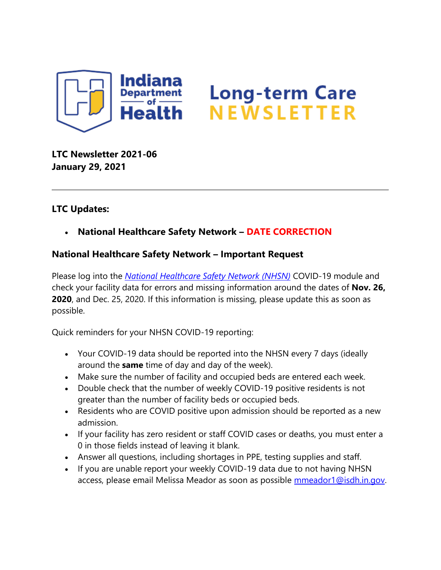

**LTC Newsletter 2021-06 January 29, 2021**

## **LTC Updates:**

• **National Healthcare Safety Network – DATE CORRECTION**

## **National Healthcare Safety Network – Important Request**

Please log into the *[National Healthcare Safety Network \(NHSN\)](https://auth.cdc.gov/siteminderagent/forms/login.fcc?TYPE=33554433&REALMOID=06-2e4e428f-8768-4f65-a66d-911e49413d9e&GUID=&SMAUTHREASON=0&METHOD=GET&SMAGENTNAME=-SM-VfBllSkkIKR6GkMEZgI2o6e2zk%2fxh2fc%2fe5E0N%2fN98H5LsZWkDhX%2fH618YU%2bV1pFG6Dqc8o%2buj7a7BOjbw3l3DbOwJLzWlX7IAOrlseiUBdD9DB45IS4xFtcl%2fRbqrug&TARGET=-SM-https%3a%2f%2fsams%2ecdc%2egov%2f)* COVID-19 module and check your facility data for errors and missing information around the dates of **Nov. 26, 2020**, and Dec. 25, 2020. If this information is missing, please update this as soon as possible.

Quick reminders for your NHSN COVID-19 reporting:

- Your COVID-19 data should be reported into the NHSN every 7 days (ideally around the **same** time of day and day of the week).
- Make sure the number of facility and occupied beds are entered each week.
- Double check that the number of weekly COVID-19 positive residents is not greater than the number of facility beds or occupied beds.
- Residents who are COVID positive upon admission should be reported as a new admission.
- If your facility has zero resident or staff COVID cases or deaths, you must enter a 0 in those fields instead of leaving it blank.
- Answer all questions, including shortages in PPE, testing supplies and staff.
- If you are unable report your weekly COVID-19 data due to not having NHSN access, please email Melissa Meador as soon as possible [mmeador1@isdh.in.gov.](mailto:mmeador1@isdh.in.gov)